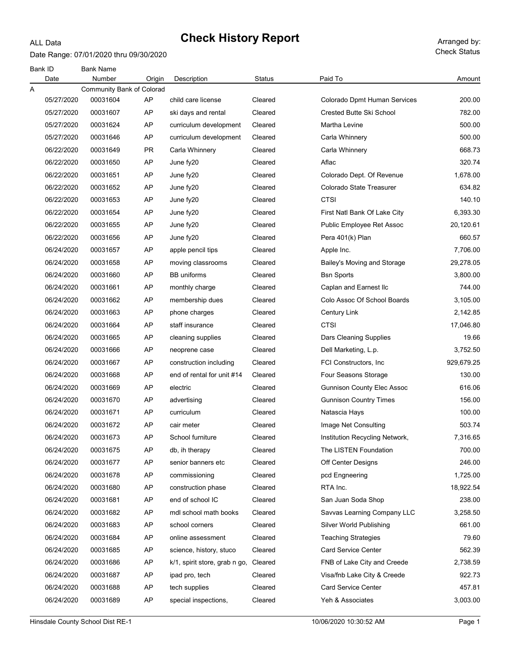### ALL Data

# Check History Report Arranged by:

Date Range: 07/01/2020 thru 09/30/2020

Check Status

| Bank ID |            | <b>Bank Name</b>          |           |                               |         |                                   |            |
|---------|------------|---------------------------|-----------|-------------------------------|---------|-----------------------------------|------------|
|         | Date       | Number                    | Origin    | Description                   | Status  | Paid To                           | Amount     |
| Α       |            | Community Bank of Colorad |           |                               |         |                                   |            |
|         | 05/27/2020 | 00031604                  | AP        | child care license            | Cleared | Colorado Dpmt Human Services      | 200.00     |
|         | 05/27/2020 | 00031607                  | AP        | ski days and rental           | Cleared | <b>Crested Butte Ski School</b>   | 782.00     |
|         | 05/27/2020 | 00031624                  | AP        | curriculum development        | Cleared | Martha Levine                     | 500.00     |
|         | 05/27/2020 | 00031646                  | AP        | curriculum development        | Cleared | Carla Whinnery                    | 500.00     |
|         | 06/22/2020 | 00031649                  | <b>PR</b> | Carla Whinnery                | Cleared | Carla Whinnery                    | 668.73     |
|         | 06/22/2020 | 00031650                  | AP        | June fy20                     | Cleared | Aflac                             | 320.74     |
|         | 06/22/2020 | 00031651                  | AP        | June fy20                     | Cleared | Colorado Dept. Of Revenue         | 1,678.00   |
|         | 06/22/2020 | 00031652                  | AP        | June fy20                     | Cleared | Colorado State Treasurer          | 634.82     |
|         | 06/22/2020 | 00031653                  | AP        | June fy20                     | Cleared | <b>CTSI</b>                       | 140.10     |
|         | 06/22/2020 | 00031654                  | AP        | June fy20                     | Cleared | First Natl Bank Of Lake City      | 6,393.30   |
|         | 06/22/2020 | 00031655                  | AP        | June fy20                     | Cleared | Public Employee Ret Assoc         | 20,120.61  |
|         | 06/22/2020 | 00031656                  | AP        | June fy20                     | Cleared | Pera 401(k) Plan                  | 660.57     |
|         | 06/24/2020 | 00031657                  | AP        | apple pencil tips             | Cleared | Apple Inc.                        | 7,706.00   |
|         | 06/24/2020 | 00031658                  | AP        | moving classrooms             | Cleared | Bailey's Moving and Storage       | 29,278.05  |
|         | 06/24/2020 | 00031660                  | AP        | <b>BB</b> uniforms            | Cleared | <b>Bsn Sports</b>                 | 3,800.00   |
|         | 06/24/2020 | 00031661                  | AP        | monthly charge                | Cleared | Caplan and Earnest Ilc            | 744.00     |
|         | 06/24/2020 | 00031662                  | AP        | membership dues               | Cleared | Colo Assoc Of School Boards       | 3,105.00   |
|         | 06/24/2020 | 00031663                  | AP        | phone charges                 | Cleared | Century Link                      | 2,142.85   |
|         | 06/24/2020 | 00031664                  | AP        | staff insurance               | Cleared | <b>CTSI</b>                       | 17,046.80  |
|         | 06/24/2020 | 00031665                  | AP        | cleaning supplies             | Cleared | Dars Cleaning Supplies            | 19.66      |
|         | 06/24/2020 | 00031666                  | AP        | neoprene case                 | Cleared | Dell Marketing, L.p.              | 3,752.50   |
|         | 06/24/2020 | 00031667                  | AP        | construction including        | Cleared | FCI Constructors, Inc.            | 929,679.25 |
|         | 06/24/2020 | 00031668                  | AP        | end of rental for unit #14    | Cleared | Four Seasons Storage              | 130.00     |
|         | 06/24/2020 | 00031669                  | AP        | electric                      | Cleared | <b>Gunnison County Elec Assoc</b> | 616.06     |
|         | 06/24/2020 | 00031670                  | AP        | advertising                   | Cleared | <b>Gunnison Country Times</b>     | 156.00     |
|         | 06/24/2020 | 00031671                  | AP        | curriculum                    | Cleared | Natascia Hays                     | 100.00     |
|         | 06/24/2020 | 00031672                  | AP        | cair meter                    | Cleared | Image Net Consulting              | 503.74     |
|         | 06/24/2020 | 00031673                  | AP        | School furniture              | Cleared | Institution Recycling Network,    | 7,316.65   |
|         | 06/24/2020 | 00031675                  | AP        | db, ih therapy                | Cleared | The LISTEN Foundation             | 700.00     |
|         | 06/24/2020 | 00031677                  | AP        | senior banners etc            | Cleared | Off Center Designs                | 246.00     |
|         | 06/24/2020 | 00031678                  | AP        | commissioning                 | Cleared | pcd Engneering                    | 1,725.00   |
|         | 06/24/2020 | 00031680                  | AP        | construction phase            | Cleared | RTA Inc.                          | 18,922.54  |
|         | 06/24/2020 | 00031681                  | AP        | end of school IC              | Cleared | San Juan Soda Shop                | 238.00     |
|         | 06/24/2020 | 00031682                  | AP        | mdl school math books         | Cleared | Savvas Learning Company LLC       | 3,258.50   |
|         | 06/24/2020 | 00031683                  | AP        | school corners                | Cleared | Silver World Publishing           | 661.00     |
|         | 06/24/2020 | 00031684                  | AP        | online assessment             | Cleared | <b>Teaching Strategies</b>        | 79.60      |
|         | 06/24/2020 | 00031685                  | AP        | science, history, stuco       | Cleared | <b>Card Service Center</b>        | 562.39     |
|         | 06/24/2020 | 00031686                  | AP        | k/1, spirit store, grab n go, | Cleared | FNB of Lake City and Creede       | 2,738.59   |
|         | 06/24/2020 | 00031687                  | AP        | ipad pro, tech                | Cleared | Visa/fnb Lake City & Creede       | 922.73     |
|         | 06/24/2020 | 00031688                  | AP        | tech supplies                 | Cleared | <b>Card Service Center</b>        | 457.81     |
|         | 06/24/2020 | 00031689                  | AP        | special inspections,          | Cleared | Yeh & Associates                  | 3,003.00   |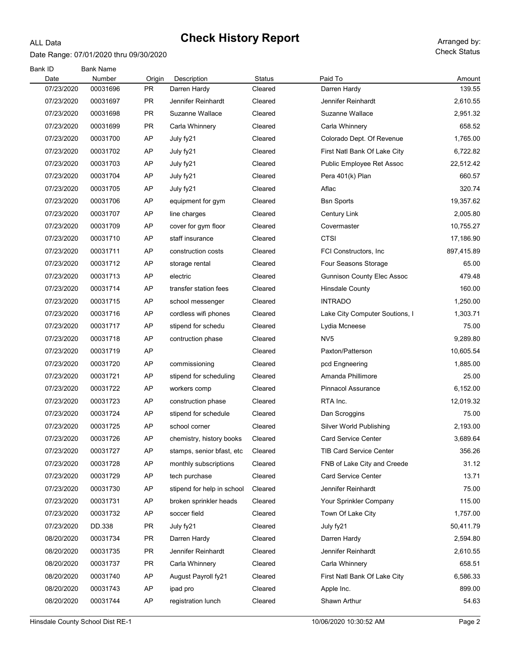### ALL Data

#### Date Range: 07/01/2020 thru 09/30/2020

Check Status

| Bank ID            | <b>Bank Name</b>   |              |                             |                   |                                   |                  |
|--------------------|--------------------|--------------|-----------------------------|-------------------|-----------------------------------|------------------|
| Date<br>07/23/2020 | Number<br>00031696 | Origin<br>PR | Description<br>Darren Hardy | Status<br>Cleared | Paid To<br>Darren Hardy           | Amount<br>139.55 |
| 07/23/2020         | 00031697           | PR           | Jennifer Reinhardt          | Cleared           | Jennifer Reinhardt                | 2,610.55         |
| 07/23/2020         | 00031698           | PR           | Suzanne Wallace             | Cleared           | Suzanne Wallace                   | 2,951.32         |
| 07/23/2020         | 00031699           | PR           | Carla Whinnery              | Cleared           |                                   | 658.52           |
| 07/23/2020         |                    | AP           |                             | Cleared           | Carla Whinnery                    | 1,765.00         |
|                    | 00031700           |              | July fy21                   |                   | Colorado Dept. Of Revenue         |                  |
| 07/23/2020         | 00031702           | AP           | July fy21                   | Cleared           | First Natl Bank Of Lake City      | 6,722.82         |
| 07/23/2020         | 00031703           | AP           | July fy21                   | Cleared           | Public Employee Ret Assoc         | 22,512.42        |
| 07/23/2020         | 00031704           | AP           | July fy21                   | Cleared           | Pera 401(k) Plan                  | 660.57           |
| 07/23/2020         | 00031705           | AP           | July fy21                   | Cleared           | Aflac                             | 320.74           |
| 07/23/2020         | 00031706           | AP           | equipment for gym           | Cleared           | <b>Bsn Sports</b>                 | 19,357.62        |
| 07/23/2020         | 00031707           | AP           | line charges                | Cleared           | Century Link                      | 2,005.80         |
| 07/23/2020         | 00031709           | AP           | cover for gym floor         | Cleared           | Covermaster                       | 10,755.27        |
| 07/23/2020         | 00031710           | AP           | staff insurance             | Cleared           | <b>CTSI</b>                       | 17,186.90        |
| 07/23/2020         | 00031711           | AP           | construction costs          | Cleared           | FCI Constructors, Inc.            | 897,415.89       |
| 07/23/2020         | 00031712           | AP           | storage rental              | Cleared           | Four Seasons Storage              | 65.00            |
| 07/23/2020         | 00031713           | AP           | electric                    | Cleared           | <b>Gunnison County Elec Assoc</b> | 479.48           |
| 07/23/2020         | 00031714           | AP           | transfer station fees       | Cleared           | <b>Hinsdale County</b>            | 160.00           |
| 07/23/2020         | 00031715           | AP           | school messenger            | Cleared           | <b>INTRADO</b>                    | 1,250.00         |
| 07/23/2020         | 00031716           | AP           | cordless wifi phones        | Cleared           | Lake City Computer Soutions, I    | 1,303.71         |
| 07/23/2020         | 00031717           | AP           | stipend for schedu          | Cleared           | Lydia Mcneese                     | 75.00            |
| 07/23/2020         | 00031718           | AP           | contruction phase           | Cleared           | NV <sub>5</sub>                   | 9,289.80         |
| 07/23/2020         | 00031719           | AP           |                             | Cleared           | Paxton/Patterson                  | 10,605.54        |
| 07/23/2020         | 00031720           | AP           | commissioning               | Cleared           | pcd Engneering                    | 1,885.00         |
| 07/23/2020         | 00031721           | AP           | stipend for scheduling      | Cleared           | Amanda Phillimore                 | 25.00            |
| 07/23/2020         | 00031722           | AP           | workers comp                | Cleared           | <b>Pinnacol Assurance</b>         | 6,152.00         |
| 07/23/2020         | 00031723           | AP           | construction phase          | Cleared           | RTA Inc.                          | 12,019.32        |
| 07/23/2020         | 00031724           | AP           | stipend for schedule        | Cleared           | Dan Scroggins                     | 75.00            |
| 07/23/2020         | 00031725           | AP           | school corner               | Cleared           | Silver World Publishing           | 2,193.00         |
| 07/23/2020         | 00031726           | AP           | chemistry, history books    | Cleared           | Card Service Center               | 3,689.64         |
| 07/23/2020         | 00031727           | AP           | stamps, senior bfast, etc   | Cleared           | <b>TIB Card Service Center</b>    | 356.26           |
| 07/23/2020         | 00031728           | AP           | monthly subscriptions       | Cleared           | FNB of Lake City and Creede       | 31.12            |
| 07/23/2020         | 00031729           | AP           | tech purchase               | Cleared           | <b>Card Service Center</b>        | 13.71            |
| 07/23/2020         | 00031730           | AP           | stipend for help in school  | Cleared           | Jennifer Reinhardt                | 75.00            |
| 07/23/2020         | 00031731           | AP           | broken sprinkler heads      | Cleared           | Your Sprinkler Company            | 115.00           |
| 07/23/2020         | 00031732           | AP           | soccer field                | Cleared           | Town Of Lake City                 | 1,757.00         |
| 07/23/2020         | DD.338             | PR           | July fy21                   | Cleared           | July fy21                         | 50,411.79        |
| 08/20/2020         | 00031734           | <b>PR</b>    | Darren Hardy                | Cleared           | Darren Hardy                      | 2,594.80         |
| 08/20/2020         | 00031735           | <b>PR</b>    | Jennifer Reinhardt          | Cleared           | Jennifer Reinhardt                | 2,610.55         |
| 08/20/2020         | 00031737           | <b>PR</b>    | Carla Whinnery              | Cleared           | Carla Whinnery                    | 658.51           |
| 08/20/2020         | 00031740           | AP           | August Payroll fy21         | Cleared           | First Natl Bank Of Lake City      | 6,586.33         |
| 08/20/2020         | 00031743           | AP           | ipad pro                    | Cleared           | Apple Inc.                        | 899.00           |
| 08/20/2020         | 00031744           | AP           | registration lunch          | Cleared           | Shawn Arthur                      | 54.63            |
|                    |                    |              |                             |                   |                                   |                  |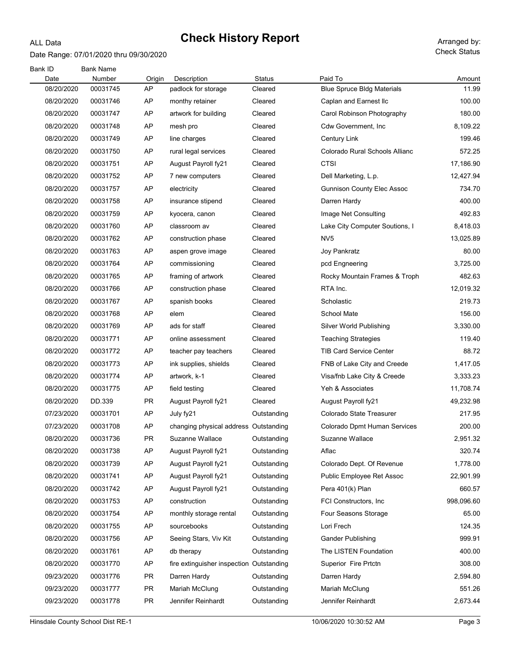### ALL Data

Date Range: 07/01/2020 thru 09/30/2020

| Bank ID<br>Date | <b>Bank Name</b><br>Number | Origin    | Description                              | Status      | Paid To                           | Amount     |
|-----------------|----------------------------|-----------|------------------------------------------|-------------|-----------------------------------|------------|
| 08/20/2020      | 00031745                   | AP        | padlock for storage                      | Cleared     | <b>Blue Spruce Bldg Materials</b> | 11.99      |
| 08/20/2020      | 00031746                   | AP        | monthy retainer                          | Cleared     | Caplan and Earnest Ilc            | 100.00     |
| 08/20/2020      | 00031747                   | AP        | artwork for building                     | Cleared     | Carol Robinson Photography        | 180.00     |
| 08/20/2020      | 00031748                   | AP        | mesh pro                                 | Cleared     | Cdw Government, Inc               | 8,109.22   |
| 08/20/2020      | 00031749                   | AP        | line charges                             | Cleared     | Century Link                      | 199.46     |
| 08/20/2020      | 00031750                   | AP        | rural legal services                     | Cleared     | Colorado Rural Schools Allianc    | 572.25     |
| 08/20/2020      | 00031751                   | AP        | August Payroll fy21                      | Cleared     | CTSI                              | 17,186.90  |
| 08/20/2020      | 00031752                   | AP        | 7 new computers                          | Cleared     | Dell Marketing, L.p.              | 12,427.94  |
| 08/20/2020      | 00031757                   | AP        | electricity                              | Cleared     | <b>Gunnison County Elec Assoc</b> | 734.70     |
| 08/20/2020      | 00031758                   | AP        | insurance stipend                        | Cleared     | Darren Hardy                      | 400.00     |
| 08/20/2020      | 00031759                   | AP        | kyocera, canon                           | Cleared     | Image Net Consulting              | 492.83     |
| 08/20/2020      | 00031760                   | AP        | classroom av                             | Cleared     | Lake City Computer Soutions, I    | 8,418.03   |
| 08/20/2020      | 00031762                   | AP        | construction phase                       | Cleared     | NV <sub>5</sub>                   | 13,025.89  |
| 08/20/2020      | 00031763                   | AP        | aspen grove image                        | Cleared     | Joy Pankratz                      | 80.00      |
| 08/20/2020      | 00031764                   | AP        | commissioning                            | Cleared     | pcd Engneering                    | 3,725.00   |
| 08/20/2020      | 00031765                   | AP        | framing of artwork                       | Cleared     | Rocky Mountain Frames & Troph     | 482.63     |
| 08/20/2020      | 00031766                   | AP        | construction phase                       | Cleared     | RTA Inc.                          | 12,019.32  |
| 08/20/2020      | 00031767                   | AP        | spanish books                            | Cleared     | Scholastic                        | 219.73     |
| 08/20/2020      | 00031768                   | AP        | elem                                     | Cleared     | School Mate                       | 156.00     |
| 08/20/2020      | 00031769                   | AP        | ads for staff                            | Cleared     | Silver World Publishing           | 3,330.00   |
| 08/20/2020      | 00031771                   | AP        | online assessment                        | Cleared     | <b>Teaching Strategies</b>        | 119.40     |
| 08/20/2020      | 00031772                   | AP        | teacher pay teachers                     | Cleared     | <b>TIB Card Service Center</b>    | 88.72      |
| 08/20/2020      | 00031773                   | AP        | ink supplies, shields                    | Cleared     | FNB of Lake City and Creede       | 1,417.05   |
| 08/20/2020      | 00031774                   | AP        | artwork, k-1                             | Cleared     | Visa/fnb Lake City & Creede       | 3,333.23   |
| 08/20/2020      | 00031775                   | AP        | field testing                            | Cleared     | Yeh & Associates                  | 11,708.74  |
| 08/20/2020      | DD.339                     | <b>PR</b> | August Payroll fy21                      | Cleared     | August Payroll fy21               | 49,232.98  |
| 07/23/2020      | 00031701                   | AP        | July fy21                                | Outstanding | Colorado State Treasurer          | 217.95     |
| 07/23/2020      | 00031708                   | AP        | changing physical address Outstanding    |             | Colorado Dpmt Human Services      | 200.00     |
| 08/20/2020      | 00031736                   | PR        | Suzanne Wallace                          | Outstanding | Suzanne Wallace                   | 2,951.32   |
| 08/20/2020      | 00031738                   | AP        | August Payroll fy21                      | Outstanding | Aflac                             | 320.74     |
| 08/20/2020      | 00031739                   | AP        | August Payroll fy21                      | Outstanding | Colorado Dept. Of Revenue         | 1,778.00   |
| 08/20/2020      | 00031741                   | AP        | August Payroll fy21                      | Outstanding | Public Employee Ret Assoc         | 22,901.99  |
| 08/20/2020      | 00031742                   | AP        | August Payroll fy21                      | Outstanding | Pera 401(k) Plan                  | 660.57     |
| 08/20/2020      | 00031753                   | AP        | construction                             | Outstanding | FCI Constructors, Inc.            | 998,096.60 |
| 08/20/2020      | 00031754                   | AP        | monthly storage rental                   | Outstanding | Four Seasons Storage              | 65.00      |
| 08/20/2020      | 00031755                   | AP        | sourcebooks                              | Outstanding | Lori Frech                        | 124.35     |
| 08/20/2020      | 00031756                   | AP        | Seeing Stars, Viv Kit                    | Outstanding | <b>Gander Publishing</b>          | 999.91     |
| 08/20/2020      | 00031761                   | AP        | db therapy                               | Outstanding | The LISTEN Foundation             | 400.00     |
| 08/20/2020      | 00031770                   | AP        | fire extinguisher inspection Outstanding |             | Superior Fire Prtctn              | 308.00     |
| 09/23/2020      | 00031776                   | <b>PR</b> | Darren Hardy                             | Outstanding | Darren Hardy                      | 2,594.80   |
| 09/23/2020      | 00031777                   | <b>PR</b> | Mariah McClung                           | Outstanding | Mariah McClung                    | 551.26     |
| 09/23/2020      | 00031778                   | <b>PR</b> | Jennifer Reinhardt                       | Outstanding | Jennifer Reinhardt                | 2,673.44   |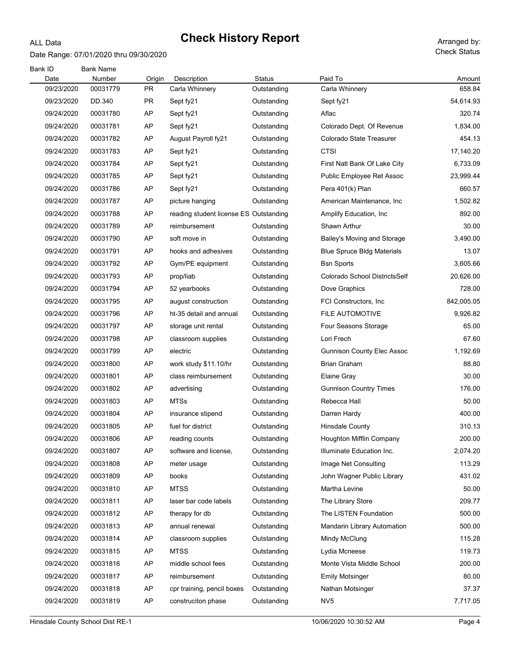### Date Range: 07/01/2020 thru 09/30/2020

ALL Data

| Bank ID<br>Date | <b>Bank Name</b><br>Number | Origin | Description                            | Status      | Paid To                           | Amount     |
|-----------------|----------------------------|--------|----------------------------------------|-------------|-----------------------------------|------------|
| 09/23/2020      | 00031779                   | PR     | Carla Whinnery                         | Outstanding | Carla Whinnery                    | 658.84     |
| 09/23/2020      | DD.340                     | PR     | Sept fy21                              | Outstanding | Sept fy21                         | 54,614.93  |
| 09/24/2020      | 00031780                   | AP     | Sept fy21                              | Outstanding | Aflac                             | 320.74     |
| 09/24/2020      | 00031781                   | AP     | Sept fy21                              | Outstanding | Colorado Dept. Of Revenue         | 1,834.00   |
| 09/24/2020      | 00031782                   | AP     | August Payroll fy21                    | Outstanding | Colorado State Treasurer          | 454.13     |
| 09/24/2020      | 00031783                   | AP     | Sept fy21                              | Outstanding | <b>CTSI</b>                       | 17,140.20  |
| 09/24/2020      | 00031784                   | AP     | Sept fy21                              | Outstanding | First Natl Bank Of Lake City      | 6,733.09   |
| 09/24/2020      | 00031785                   | AP     | Sept fy21                              | Outstanding | Public Employee Ret Assoc         | 23,999.44  |
| 09/24/2020      | 00031786                   | AP     | Sept fy21                              | Outstanding | Pera 401(k) Plan                  | 660.57     |
| 09/24/2020      | 00031787                   | AP     | picture hanging                        | Outstanding | American Maintenance, Inc.        | 1,502.82   |
| 09/24/2020      | 00031788                   | AP     | reading student license ES Outstanding |             | Amplify Education, Inc.           | 892.00     |
| 09/24/2020      | 00031789                   | AP     | reimbursement                          | Outstanding | Shawn Arthur                      | 30.00      |
| 09/24/2020      | 00031790                   | AP     | soft move in                           | Outstanding | Bailey's Moving and Storage       | 3,490.00   |
| 09/24/2020      | 00031791                   | AP     | hooks and adhesives                    | Outstanding | <b>Blue Spruce Bldg Materials</b> | 13.07      |
| 09/24/2020      | 00031792                   | AP     | Gym/PE equipment                       | Outstanding | <b>Bsn Sports</b>                 | 3,605.66   |
| 09/24/2020      | 00031793                   | AP     | prop/liab                              | Outstanding | Colorado School DistrictsSelf     | 20,626.00  |
| 09/24/2020      | 00031794                   | AP     | 52 yearbooks                           | Outstanding | Dove Graphics                     | 728.00     |
| 09/24/2020      | 00031795                   | AP     | august construction                    | Outstanding | FCI Constructors, Inc.            | 842,005.05 |
| 09/24/2020      | 00031796                   | AP     | ht-35 detail and annual                | Outstanding | FILE AUTOMOTIVE                   | 9,926.82   |
| 09/24/2020      | 00031797                   | AP     | storage unit rental                    | Outstanding | Four Seasons Storage              | 65.00      |
| 09/24/2020      | 00031798                   | AP     | classroom supplies                     | Outstanding | Lori Frech                        | 67.60      |
| 09/24/2020      | 00031799                   | AP     | electric                               | Outstanding | <b>Gunnison County Elec Assoc</b> | 1,192.69   |
| 09/24/2020      | 00031800                   | AP     | work study \$11.10/hr                  | Outstanding | <b>Brian Graham</b>               | 88.80      |
| 09/24/2020      | 00031801                   | AP     | class reimbursement                    | Outstanding | Elaine Gray                       | 30.00      |
| 09/24/2020      | 00031802                   | AP     | advertising                            | Outstanding | <b>Gunnison Country Times</b>     | 176.00     |
| 09/24/2020      | 00031803                   | AP     | <b>MTSs</b>                            | Outstanding | Rebecca Hall                      | 50.00      |
| 09/24/2020      | 00031804                   | AP     | insurance stipend                      | Outstanding | Darren Hardy                      | 400.00     |
| 09/24/2020      | 00031805                   | AP     | fuel for district                      | Outstanding | <b>Hinsdale County</b>            | 310.13     |
| 09/24/2020      | 00031806                   | AP     | reading counts                         | Outstanding | Houghton Mifflin Company          | 200.00     |
| 09/24/2020      | 00031807                   | AP     | software and license,                  | Outstanding | Illuminate Education Inc.         | 2,074.20   |
| 09/24/2020      | 00031808                   | AP     | meter usage                            | Outstanding | Image Net Consulting              | 113.29     |
| 09/24/2020      | 00031809                   | AP     | books                                  | Outstanding | John Wagner Public Library        | 431.02     |
| 09/24/2020      | 00031810                   | AP     | <b>MTSS</b>                            | Outstanding | Martha Levine                     | 50.00      |
| 09/24/2020      | 00031811                   | AP     | laser bar code labels                  | Outstanding | The Library Store                 | 209.77     |
| 09/24/2020      | 00031812                   | AP     | therapy for db                         | Outstanding | The LISTEN Foundation             | 500.00     |
| 09/24/2020      | 00031813                   | AP     | annual renewal                         | Outstanding | Mandarin Library Automation       | 500.00     |
| 09/24/2020      | 00031814                   | AP     | classroom supplies                     | Outstanding | Mindy McClung                     | 115.28     |
| 09/24/2020      | 00031815                   | AP     | <b>MTSS</b>                            | Outstanding | Lydia Mcneese                     | 119.73     |
| 09/24/2020      | 00031816                   | AP     | middle school fees                     | Outstanding | Monte Vista Middle School         | 200.00     |
| 09/24/2020      | 00031817                   | AP     | reimbursement                          | Outstanding | <b>Emily Motsinger</b>            | 80.00      |
| 09/24/2020      | 00031818                   | AP     | cpr training, pencil boxes             | Outstanding | Nathan Motsinger                  | 37.37      |
| 09/24/2020      | 00031819                   | AP     | construciton phase                     | Outstanding | NV <sub>5</sub>                   | 7,717.05   |